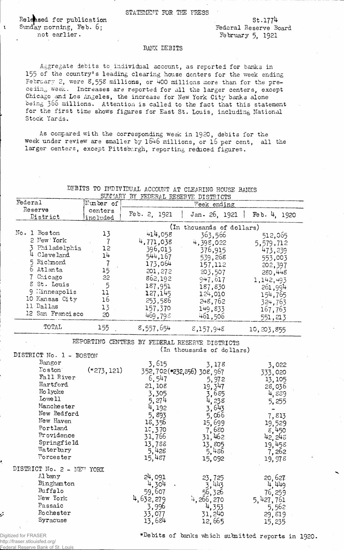STATEMENT FOR THE PRESS

Released for publication  $SL.1774$ Sunday morning, Feb. 6; Federal Reserve Board<br>
not earlier.<br>
February 5, 1921

 $\mathbf{r}$ 

February 5, 1921

## BANK DEBITS

Aggregate debits to individual account, as reported for banks in 155 of the country's leading clearing house denters for the week ending February 2, were 8,558 millions, or 400 millions more than for the preceding week. Increases are reported for all the larger centers, except Chicago and Los Angeles, the increase for New York City banks alone being 366 millions. Attention is called to the fact that this statement for the first time shows figures for East St. Louis, including National Stock Yards.

As compared with the corresponding week in 1920, debits for the week under review are smaller by 1646 millions, or 16 per cent, all the larger centers, except Pittsburgh, reporting reduced figures.

|                           |               | SUMMARY BY FEDERAL RESERVE DISTRICTS |                                                |                    |  |  |  |
|---------------------------|---------------|--------------------------------------|------------------------------------------------|--------------------|--|--|--|
| Federal                   | Number of     | Week ending                          |                                                |                    |  |  |  |
| Reserve                   | centers       | Feb. 2, 1921                         |                                                |                    |  |  |  |
| District                  | included      |                                      | Jan. $26, 1921$                                | Feb. 4, 1920       |  |  |  |
| (In thousands of dollars) |               |                                      |                                                |                    |  |  |  |
| No. 1 Boston              | 13            | 414,058                              | 363,566                                        | 512,065            |  |  |  |
| 2 New York                | 7             | 4,771,038                            |                                                |                    |  |  |  |
| 3 Philadelphia            | 12            |                                      | 4,398,022                                      | 5,579,712          |  |  |  |
| 4 Cleveland               | 14            | 396,013                              | 376,915                                        | 473,239            |  |  |  |
| 5 Richmond                |               | 544,167                              | 539,268                                        | 553,003            |  |  |  |
|                           |               | 173,064                              | 157,112                                        | 202,397            |  |  |  |
| 6 Atlanta                 | 15            | 201,272                              | 203,507                                        | 280,448            |  |  |  |
| 7 Chicago                 | 22            | 862,192                              | 947,617                                        | 1,142,493          |  |  |  |
| 8 St. Louis               | 5             | 187,951                              | 187,830                                        | 261,994            |  |  |  |
| 9 l'inneapolis            | 11            | 127,145                              | 124,010                                        | 154,765            |  |  |  |
| 10 Kansas City            | 16            | 253,586                              | 248,762                                        | 324,763            |  |  |  |
| 11 Dallas                 | 13            | 157,370                              | 149.833                                        | 167,763            |  |  |  |
| 12 San Francisco          | 20            | 469,798                              | 461,506                                        | 551,213            |  |  |  |
|                           |               |                                      |                                                |                    |  |  |  |
| TOTAL                     | 155           | 8,557,654                            | 8,157,948                                      | 10, 203, 855       |  |  |  |
|                           |               |                                      | REPORTING CENTERS BY FEDERAL RESERVE DISTRICTS |                    |  |  |  |
|                           |               |                                      | (In thousands of dollars)                      |                    |  |  |  |
| DISTRICT No. 1 - BOSTON   |               |                                      |                                                |                    |  |  |  |
| Bangor                    |               |                                      |                                                |                    |  |  |  |
| Toston                    | $(*273, 121)$ | 3,615                                | 3,178                                          | 3,022              |  |  |  |
| Fall River                |               |                                      | 352,702(*232,856) 308,967                      | 333,020            |  |  |  |
| Hartford                  |               | 6,547                                | 5,972                                          | 13, 105            |  |  |  |
| Ho lyoke                  |               | 21, 108                              | 19,347                                         | 28,036             |  |  |  |
|                           |               | 3,305                                | 3,685                                          | 4,889              |  |  |  |
| Lowe 11                   |               | 5,274                                | 4,238                                          | 5,255              |  |  |  |
| Manchester                |               | 4, 192                               | 3,643                                          |                    |  |  |  |
| New Bedford               |               | 5,893                                | 5,066                                          | 7,813              |  |  |  |
| New Haven                 |               | 18,356                               | 15,699                                         | 19,529             |  |  |  |
| Portland                  |               | 10,370                               | 7,680                                          | 8,450              |  |  |  |
| Providence                |               | 31,766                               | 31,462                                         | 42, 248            |  |  |  |
| Springfield               |               | 13,788                               | 13,805                                         | 19,458             |  |  |  |
| Waterbury                 |               | 5,428                                | 5,486                                          | 7,262              |  |  |  |
| Worcester                 |               | 15,487                               | 15,092                                         | 19,978             |  |  |  |
|                           |               |                                      |                                                |                    |  |  |  |
| DISTRICT No. 2 - NEW YORK |               |                                      |                                                |                    |  |  |  |
| Al bany                   |               | 24,091                               | 23,725                                         |                    |  |  |  |
| Binghamton                |               | 4,304                                | 3,443                                          | $20,627$<br>4, 449 |  |  |  |
| Buffalo                   |               | 59,607                               | 56,326                                         | 76, 259            |  |  |  |
| New York                  |               | 4, 632, 279                          | 4,266,270                                      | 5,427,761          |  |  |  |
| Passaic                   |               | 3,996                                | 4,353                                          | 5,562              |  |  |  |
| Rochester                 |               | 33,077                               | 31,240                                         | 29,819             |  |  |  |
| Syracuse                  |               | 13,684                               | 12,665                                         | 15,235             |  |  |  |
| A.                        |               |                                      |                                                |                    |  |  |  |

DEBITS TO INDIVIDUAL ACCOUNT AT CLEARING HOUSE BANKS

Digitized for FRASER http://fraser.stlouisfed.org/ Reserve Bank of St. Louis

ز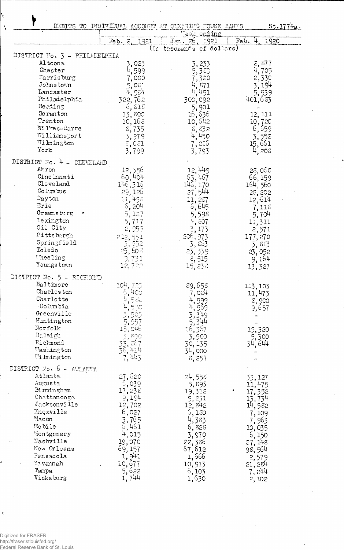|                               | DEBITS TO INDIVIDUAL ACCOUNT AT CLEARING FOUSE BANKS                     | Week ending                                     | St.1774a.          |
|-------------------------------|--------------------------------------------------------------------------|-------------------------------------------------|--------------------|
|                               | Feb. 2, 1921                                                             | Jen. 26, 1921                                   | Feb.<br>1920       |
| DISTRICT No. 3 - PHILADELPHIA |                                                                          | (In thousands of dollars)                       |                    |
| Altoona                       |                                                                          |                                                 |                    |
| Chester                       | 3,025                                                                    | 3,233                                           | 2,877<br>4,705     |
| Harrisburg                    | 4,599                                                                    | 5,355<br>7,320                                  | 2,330              |
| Johnstown                     | 7,000                                                                    |                                                 | 3,194              |
| Lancaster                     | 5,061                                                                    | $4,871$<br>$4,451$                              |                    |
| Philadelphia                  | 4,954<br>322,762                                                         |                                                 | 5,539<br>401,683   |
| Reading                       |                                                                          | 300,092                                         |                    |
| Scranton                      | 6,818                                                                    | 5,901                                           |                    |
| Trenton                       | 13,800                                                                   | 16,636                                          | 12, 111            |
| Willes-Barre                  | 10,168                                                                   | 10,642                                          | 10,720             |
| Williamsport                  | 8,735                                                                    | 5,52                                            | $6,659$<br>$3,552$ |
| Wilmington                    | 3,979                                                                    | 4,450                                           |                    |
| York                          | $\varepsilon$ ,031                                                       | 7,236                                           | 15,661             |
|                               | 3,799                                                                    | 3,793                                           | 4,208              |
| DISTRICT No. 4 - CLEVELAND    |                                                                          |                                                 |                    |
| Alt ron                       | $12, 356$<br>60,404                                                      | 12,449                                          | 28,068             |
| Cincinnati                    |                                                                          | 53,457                                          | 66,159             |
| Cleveland                     | 146,316                                                                  | 146, 170                                        | 164,560            |
| Columbus                      | 29,126                                                                   | 27,544                                          | 28,202             |
| Dayton                        | 11,498                                                                   | 11,237                                          | 12,614             |
| Erie                          | 5,204                                                                    | 6,645                                           | 7,113              |
| Greensburg                    | 5,127                                                                    | 5,598                                           | 5,704              |
| Lexington                     | 5,717                                                                    | 4,507                                           | 11,311             |
| Oil City                      | 2,955                                                                    | 3,173                                           | 2,571              |
| Pittsburgh                    | 212,551                                                                  | 206,973                                         | 177, 270           |
| Springfield                   | 3,552                                                                    | 3,863                                           | 3,883              |
| Toledo                        | 25,608                                                                   | 23,539                                          | 23,052             |
| <b>Theeling</b>               | 9,731                                                                    | $\epsilon$ , 515                                | 9,164              |
| Youngs town                   | 12,722                                                                   | 15,238                                          | 13,327             |
| DISTRICT No. 5 - RICHMOND     |                                                                          |                                                 |                    |
| Baltimore                     | 104,723                                                                  | 89,658                                          | 113, 103           |
| Charleston                    | 6,400                                                                    |                                                 | 11,473             |
| Charlotte                     | 538                                                                      | $7,024$<br>4,999                                | $\epsilon$ , 900   |
| Columbia                      | $\frac{4,550}{3,505}$                                                    | $\frac{4,969}{3,349}$                           | 9,657              |
| Greenville                    |                                                                          |                                                 |                    |
| Huntington                    | 5,957                                                                    | $\frac{5}{16}$ , 344                            |                    |
| Norfolk                       | 15,046                                                                   |                                                 | 19,320             |
| Raleigh                       | 3,890                                                                    | 3,900                                           | 5,300              |
| Richmond                      |                                                                          | 30,135                                          | 34,644             |
| Washington                    |                                                                          | 34,000                                          |                    |
| Wilmington                    | $\frac{33}{36}$ , $\frac{267}{424}$<br>$\frac{7}{7}$ , $\frac{443}{443}$ | 3,257                                           |                    |
| DISTRICT No. 6 - ATLANTA      |                                                                          |                                                 |                    |
| Atlanta                       | 27,620                                                                   | 24,558                                          | 33,127             |
| Augusta                       | 5,039 <sup>.</sup>                                                       | 5,893                                           | 11,475             |
| Birmingham                    | 17,238                                                                   | 19,312                                          | 17,352             |
| Chattanooga                   | 9,194                                                                    | 9,231                                           | 13,734             |
| Jacksonville                  | 12,702                                                                   | 12,842                                          | 14,582             |
| Knoxville                     | 6,027                                                                    |                                                 | 7,109              |
| Macon                         | 3,765                                                                    | $6,180$<br>$4,383$                              | 7,963              |
| Mobile                        | 6,461                                                                    | 6,828                                           | 10,035             |
| Montgomery                    | 4,015                                                                    | 3,970                                           | 6,150              |
| Nashville                     | 19,070                                                                   |                                                 | 27, 148            |
| New Orleans                   | 69,157                                                                   | $\begin{array}{c} 22,386 \\ 67,612 \end{array}$ | 98,564             |
| Pensacola                     | 1,941                                                                    | 1,666                                           | 2,579              |
| Savannah                      | 10,677                                                                   | 10,913                                          | 21, 284            |
| Tampa                         | 5,622                                                                    | 6,103                                           | 7,244              |
| Vicksburg                     | 1,744                                                                    | 1,630                                           | 2,102              |

÷,  $\ddot{\phantom{0}}$ 

 $\epsilon$ 

 $\bar{z}$  $\overline{\phantom{a}}$ 

l,

Y

 $\mathcal{L}$ 

Digitized for FRASER<br>http://fraser.stlouisfed.org/<br><u>Federa</u>l Reserve Bank of S<u>t. Loui</u>s

 $\hat{\mathbf{y}}$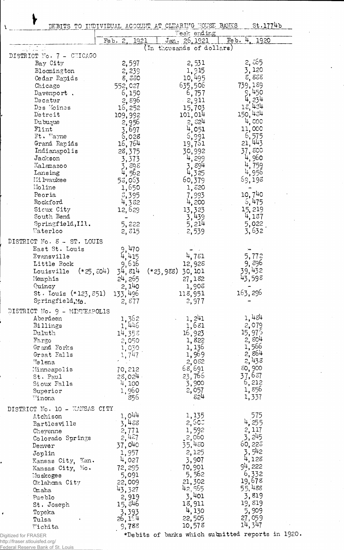|                               |                               | DEBITS TO INDIVIDUAL ACCOUNT AT CLEARING HOUSE BANKS<br>Veek ending | St.1774b           |
|-------------------------------|-------------------------------|---------------------------------------------------------------------|--------------------|
|                               | 1921<br>Feb.<br>2.            | <u>Jan. 26, 1921</u>                                                | 4, 1920<br>Feb.    |
|                               |                               | (In thousands of dollars)                                           |                    |
| DISTRICT No. 7 - CHICAGO      |                               |                                                                     | 2, డ65             |
| Bay City                      | 2,597                         | 2,531                                                               | 3,120              |
| Blocmington                   | 2,239                         | 1,915                                                               | 8,838              |
| Cedar Rapids                  | 8,880                         | 10,495                                                              | 739,189            |
| Chicago<br>Davenport.         | 552,027                       | 635,506<br>6,757                                                    | 9,450              |
| Decatur                       | 6,150<br>2,896                | $-2,911$                                                            |                    |
| Des Moines                    | 16,252                        | 15,703                                                              | 18,434             |
| Detroit                       | 109,992                       | 101,014                                                             | 150,434            |
| Dubuque                       |                               | 3,524                                                               | 4,000              |
| Flint                         | $2,956$<br>$3,697$<br>$6,028$ | 4,051                                                               | 11,000             |
| Ft. Wayne                     |                               | 6,991                                                               | 6,575              |
| Grand Rapids                  | 16,764                        | 19,751                                                              | 21, 443            |
| Indianapolis                  | 28,375                        | 30,992                                                              | 37,800             |
| Jackson                       | 3,373                         | 4,299                                                               | 4,960              |
| Kalamazoo                     | , ర్యర                        | 894                                                                 | 4,759              |
| Lansing                       | 562                           | 4,325                                                               | 4,956              |
| Mi lwaukee                    | 53,063                        | 60,379                                                              | 69,193             |
| Moline                        | $\frac{1,650}{5,395}$         | 1,520                                                               |                    |
| Peoria                        |                               | 7,993                                                               | 10,740             |
| Rockford                      | 4,382                         | 4,200                                                               | 5,475              |
| Sicux City<br>South Bend      | 12,629                        | 13,323                                                              | 15, 219            |
| Springfield, I11.             | 5,222                         | 3,439<br>5,214                                                      | 4,137<br>5,022     |
| Waterloo                      | 2, 315                        | 2,539                                                               | 3,632              |
|                               |                               |                                                                     |                    |
| DISTRICT No. 8 - ST. LOUIS    |                               |                                                                     |                    |
| East St. Louis                | 9,470                         |                                                                     |                    |
| Evansville                    | 415                           | 4,781                                                               | 5,772              |
| Little Rock                   | .616<br>9                     | 12,928                                                              | 9, 896             |
| $(*25, 504)$<br>Louisville    | 814<br>34,                    | (*23,988) 30,101                                                    | 39,432             |
| Memphis                       | 24, 265                       | 27,182                                                              | 598<br>43,         |
| Quincy                        | 2,140                         | 1,908                                                               |                    |
| St. Louis $(*123, 351)$       | 133,496                       | 118,951                                                             | 163, 296           |
| Springfield, Mo.              | 2,877                         | 2,977                                                               |                    |
| DISTRICT No. 9 - MINNEAPOLIS  |                               |                                                                     |                    |
| Aberdeen                      | 1,362<br>1,446                | 1, 241                                                              | 1,484              |
| Billings                      |                               | 1,681                                                               | 2,079              |
| Duluth                        | 14,358                        | 16,923                                                              | 15,97 <sup>5</sup> |
| Fargo                         | 2,050                         | 1,822                                                               | 2,804<br>1,566     |
| Grand Forks<br>Great Falls    | 1,030<br>1,747                | 1, 136<br>1,969                                                     | 2,864              |
| Helena                        |                               | 2,082                                                               | 2,438              |
| Minneapolis                   | 70,212                        | 68,691                                                              | 50,900             |
| St. Paul                      | 28,024                        | 23,765                                                              | 37,687             |
| Sioux Falls                   | 4,100                         | 3,900                                                               | 6,212              |
| Superior                      | 1,960                         | 2,057                                                               | 1,856              |
| Winona                        | 856                           | 824                                                                 | 1,337              |
| DISTRICT No. 10 - KANSAS CITY |                               |                                                                     |                    |
| Atchison                      | 1,044                         | 1,135                                                               | 575                |
| Bartlesville                  | 3,455                         | 2,500                                                               | 4,255              |
| Cheyenne                      | 2,771                         | 1,592                                                               | 2, 117             |
| Colorado Springs              | 2,427                         | 2,060                                                               | 3, 245             |
| Denver                        | 37,040                        | 35,480                                                              | 60, 226            |
| Joplin                        | 1,957                         | 2,125                                                               | 3,542              |
| Kansas City, Kan.             | 4,027                         | 3,907                                                               | 4,128              |
| Kansas City, Mo.              | 72, 295                       | 70,901                                                              | 94, 222            |
| Muskogee                      | 5,091                         | 5,562                                                               | 6,332              |
| Oklahoma City                 | 22,009                        | 21,302                                                              | 19,678             |
| Omaha                         | 43,327                        | 42,555                                                              | 55,488             |
| Pueblo                        | 2,919                         | 3,401                                                               | 3,819              |
| St. Joseph                    | 15,546                        | 18,911                                                              | 19,819             |
| Topeka                        | 3,393                         | 4,130                                                               | 5,909              |
| Tulsa                         | 26,154                        | 22,505                                                              | 27,059             |
| Wichita                       | 9,788                         | 10,578                                                              | 14,347             |
|                               |                               |                                                                     |                    |

Â